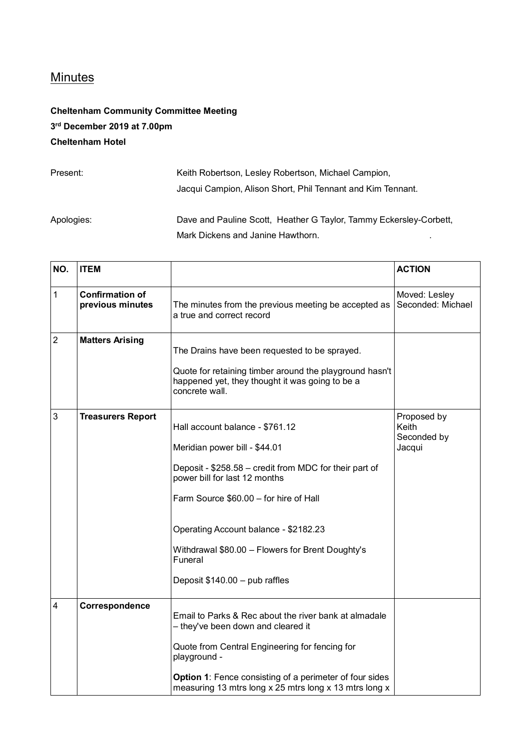## **Minutes**

## **Cheltenham Community Committee Meeting 3 rd December 2019 at 7.00pm Cheltenham Hotel**

| Present:   | Keith Robertson, Lesley Robertson, Michael Campion,                |
|------------|--------------------------------------------------------------------|
|            | Jacqui Campion, Alison Short, Phil Tennant and Kim Tennant.        |
| Apologies: | Dave and Pauline Scott, Heather G Taylor, Tammy Eckersley-Corbett. |
|            | Mark Dickens and Janine Hawthorn.                                  |

| NO.            | <b>ITEM</b>                                |                                                                                                                                                                                                                                                                                                                                                 | <b>ACTION</b>                                 |
|----------------|--------------------------------------------|-------------------------------------------------------------------------------------------------------------------------------------------------------------------------------------------------------------------------------------------------------------------------------------------------------------------------------------------------|-----------------------------------------------|
| $\mathbf{1}$   | <b>Confirmation of</b><br>previous minutes | The minutes from the previous meeting be accepted as<br>a true and correct record                                                                                                                                                                                                                                                               | Moved: Lesley<br>Seconded: Michael            |
| $\overline{2}$ | <b>Matters Arising</b>                     | The Drains have been requested to be sprayed.<br>Quote for retaining timber around the playground hasn't<br>happened yet, they thought it was going to be a<br>concrete wall.                                                                                                                                                                   |                                               |
| 3              | <b>Treasurers Report</b>                   | Hall account balance - \$761.12<br>Meridian power bill - \$44.01<br>Deposit - \$258.58 - credit from MDC for their part of<br>power bill for last 12 months<br>Farm Source \$60.00 - for hire of Hall<br>Operating Account balance - \$2182.23<br>Withdrawal \$80.00 - Flowers for Brent Doughty's<br>Funeral<br>Deposit \$140.00 - pub raffles | Proposed by<br>Keith<br>Seconded by<br>Jacqui |
| 4              | Correspondence                             | Email to Parks & Rec about the river bank at almadale<br>- they've been down and cleared it<br>Quote from Central Engineering for fencing for<br>playground -<br>Option 1: Fence consisting of a perimeter of four sides<br>measuring 13 mtrs long x 25 mtrs long x 13 mtrs long x                                                              |                                               |